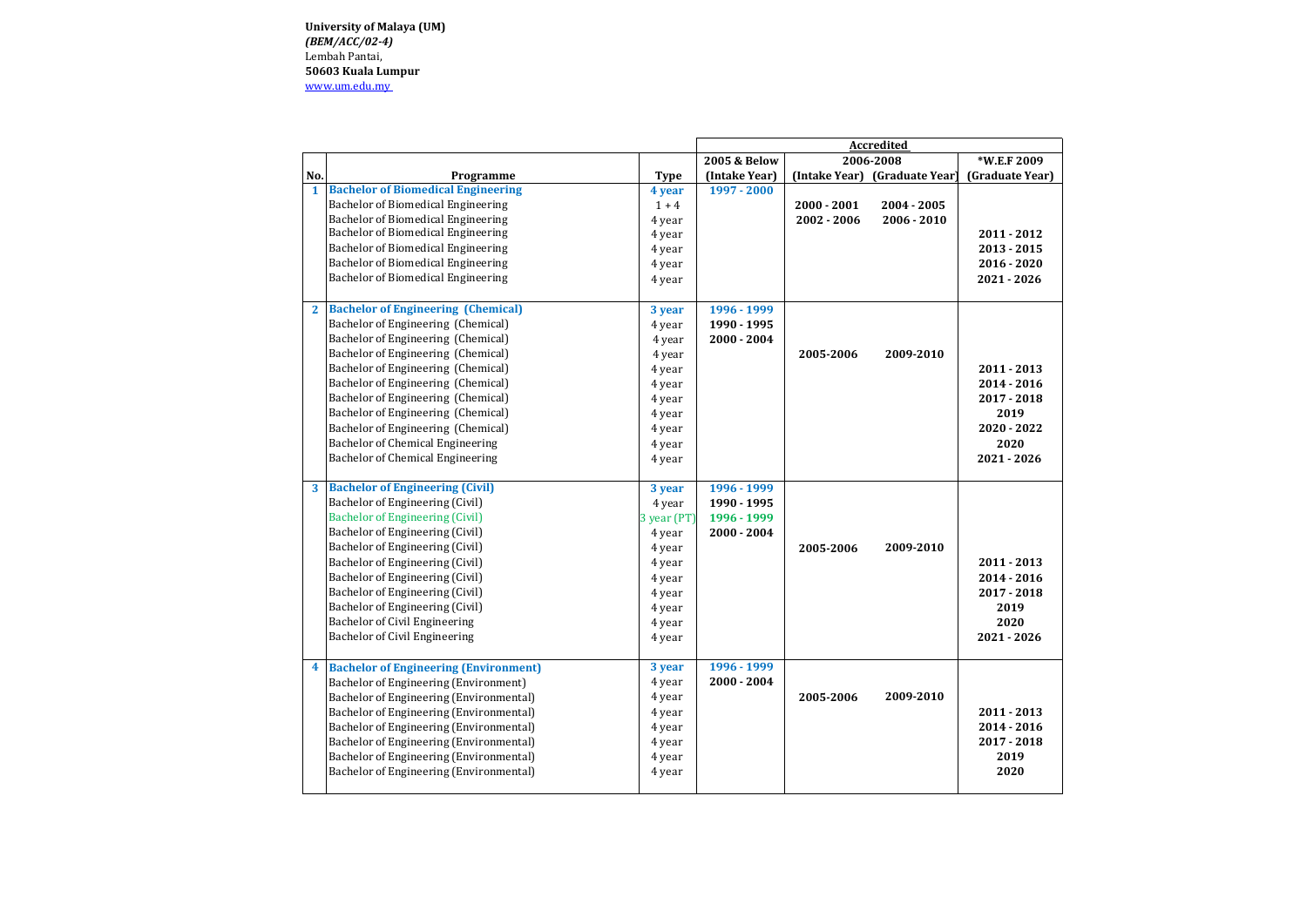**University of Malaya (UM)** *(BEM/ACC/02-4)*  Lembah Pantai, **50603 Kuala Lumpur** [www.um.edu.my](http://www.um.edu.my/) 

|                         |                                              |             | <b>Accredited</b>       |               |                               |                 |
|-------------------------|----------------------------------------------|-------------|-------------------------|---------------|-------------------------------|-----------------|
|                         |                                              |             | <b>2005 &amp; Below</b> |               | 2006-2008                     | *W.E.F 2009     |
| No.                     | Programme                                    | <b>Type</b> | (Intake Year)           |               | (Intake Year) (Graduate Year) | (Graduate Year) |
| $\mathbf{1}$            | <b>Bachelor of Biomedical Engineering</b>    | 4 year      | 1997 - 2000             |               |                               |                 |
|                         | Bachelor of Biomedical Engineering           | $1 + 4$     |                         | $2000 - 2001$ | 2004 - 2005                   |                 |
|                         | Bachelor of Biomedical Engineering           | 4 year      |                         | $2002 - 2006$ | 2006 - 2010                   |                 |
|                         | Bachelor of Biomedical Engineering           | 4 year      |                         |               |                               | 2011 - 2012     |
|                         | Bachelor of Biomedical Engineering           | 4 year      |                         |               |                               | $2013 - 2015$   |
|                         | Bachelor of Biomedical Engineering           | 4 year      |                         |               |                               | $2016 - 2020$   |
|                         | Bachelor of Biomedical Engineering           | 4 year      |                         |               |                               | $2021 - 2026$   |
| $\mathbf{2}$            | <b>Bachelor of Engineering (Chemical)</b>    | 3 year      | 1996 - 1999             |               |                               |                 |
|                         | Bachelor of Engineering (Chemical)           | 4 year      | 1990 - 1995             |               |                               |                 |
|                         | Bachelor of Engineering (Chemical)           | 4 year      | $2000 - 2004$           |               |                               |                 |
|                         | Bachelor of Engineering (Chemical)           | 4 year      |                         | 2005-2006     | 2009-2010                     |                 |
|                         | Bachelor of Engineering (Chemical)           | 4 year      |                         |               |                               | 2011 - 2013     |
|                         | Bachelor of Engineering (Chemical)           | 4 year      |                         |               |                               | $2014 - 2016$   |
|                         | Bachelor of Engineering (Chemical)           | 4 year      |                         |               |                               | 2017 - 2018     |
|                         | Bachelor of Engineering (Chemical)           | 4 year      |                         |               |                               | 2019            |
|                         | Bachelor of Engineering (Chemical)           | 4 year      |                         |               |                               | 2020 - 2022     |
|                         | Bachelor of Chemical Engineering             | 4 year      |                         |               |                               | 2020            |
|                         | Bachelor of Chemical Engineering             | 4 year      |                         |               |                               | 2021 - 2026     |
|                         | <b>Bachelor of Engineering (Civil)</b>       | 3 year      | 1996 - 1999             |               |                               |                 |
|                         | Bachelor of Engineering (Civil)              | 4 year      | 1990 - 1995             |               |                               |                 |
|                         | <b>Bachelor of Engineering (Civil)</b>       | 3 year (PT) | 1996 - 1999             |               |                               |                 |
|                         | Bachelor of Engineering (Civil)              | 4 year      | $2000 - 2004$           |               |                               |                 |
|                         | Bachelor of Engineering (Civil)              | 4 year      |                         | 2005-2006     | 2009-2010                     |                 |
|                         | Bachelor of Engineering (Civil)              | 4 year      |                         |               |                               | 2011 - 2013     |
|                         | Bachelor of Engineering (Civil)              | 4 year      |                         |               |                               | $2014 - 2016$   |
|                         | Bachelor of Engineering (Civil)              | 4 year      |                         |               |                               | 2017 - 2018     |
|                         | Bachelor of Engineering (Civil)              | 4 year      |                         |               |                               | 2019            |
|                         | Bachelor of Civil Engineering                | 4 year      |                         |               |                               | 2020            |
|                         | Bachelor of Civil Engineering                | 4 year      |                         |               |                               | 2021 - 2026     |
| $\overline{\mathbf{4}}$ | <b>Bachelor of Engineering (Environment)</b> | 3 year      | 1996 - 1999             |               |                               |                 |
|                         | Bachelor of Engineering (Environment)        | 4 year      | $2000 - 2004$           |               |                               |                 |
|                         | Bachelor of Engineering (Environmental)      | 4 year      |                         | 2005-2006     | 2009-2010                     |                 |
|                         | Bachelor of Engineering (Environmental)      | 4 year      |                         |               |                               | 2011 - 2013     |
|                         | Bachelor of Engineering (Environmental)      | 4 year      |                         |               |                               | $2014 - 2016$   |
|                         | Bachelor of Engineering (Environmental)      | 4 year      |                         |               |                               | 2017 - 2018     |
|                         | Bachelor of Engineering (Environmental)      | 4 year      |                         |               |                               | 2019            |
|                         | Bachelor of Engineering (Environmental)      | 4 year      |                         |               |                               | 2020            |
|                         |                                              |             |                         |               |                               |                 |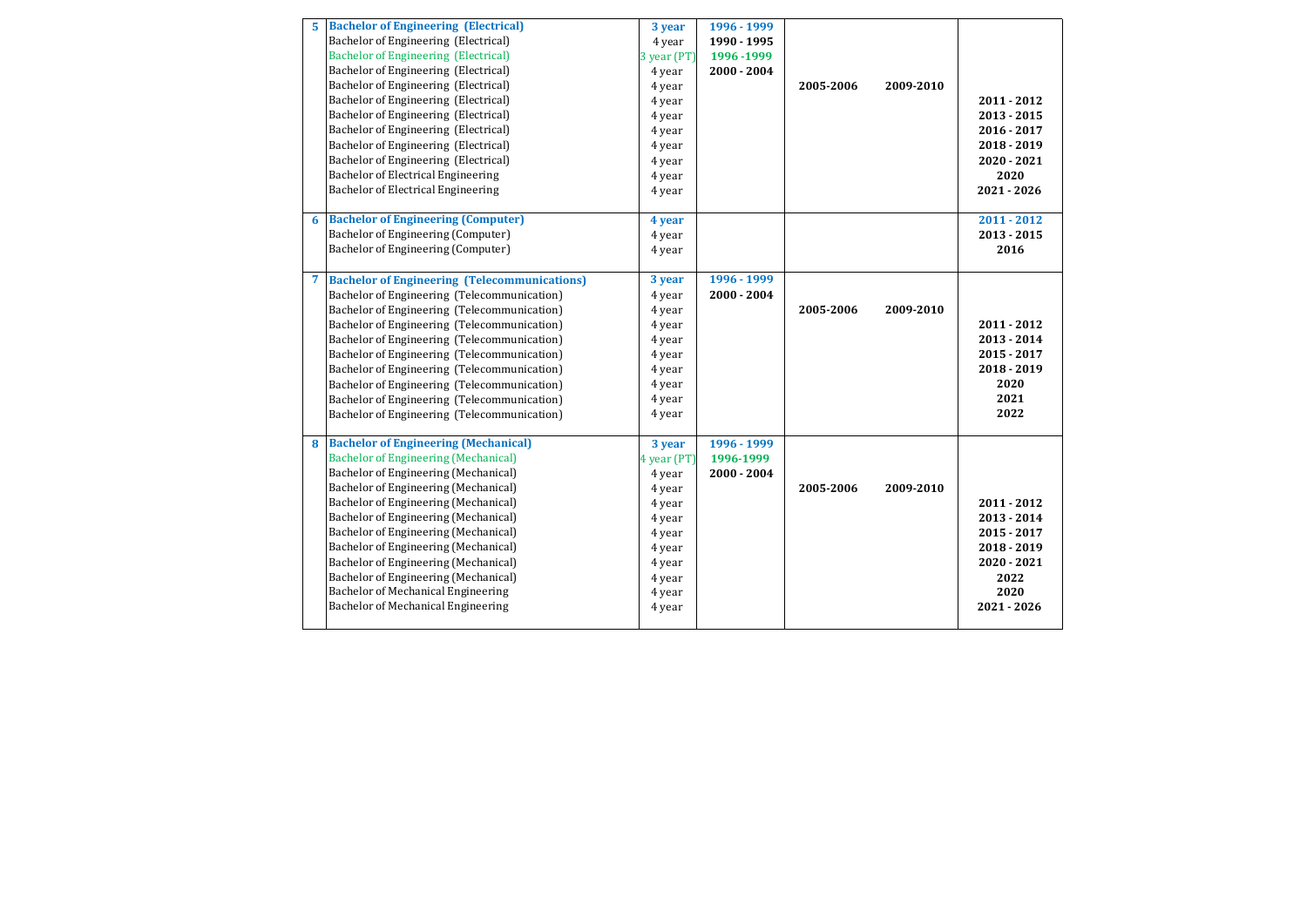| 5 | <b>Bachelor of Engineering (Electrical)</b>         | 3 year      | 1996 - 1999   |           |           |               |
|---|-----------------------------------------------------|-------------|---------------|-----------|-----------|---------------|
|   | Bachelor of Engineering (Electrical)                | 4 year      | 1990 - 1995   |           |           |               |
|   | <b>Bachelor of Engineering (Electrical)</b>         | 3 year (PT) | 1996 - 1999   |           |           |               |
|   | Bachelor of Engineering (Electrical)                | 4 year      | $2000 - 2004$ |           |           |               |
|   | Bachelor of Engineering (Electrical)                | 4 year      |               | 2005-2006 | 2009-2010 |               |
|   | Bachelor of Engineering (Electrical)                | 4 year      |               |           |           | $2011 - 2012$ |
|   | Bachelor of Engineering (Electrical)                | 4 year      |               |           |           | $2013 - 2015$ |
|   | Bachelor of Engineering (Electrical)                | 4 year      |               |           |           | 2016 - 2017   |
|   | Bachelor of Engineering (Electrical)                | 4 year      |               |           |           | $2018 - 2019$ |
|   | Bachelor of Engineering (Electrical)                | 4 year      |               |           |           | $2020 - 2021$ |
|   | Bachelor of Electrical Engineering                  | 4 year      |               |           |           | 2020          |
|   | Bachelor of Electrical Engineering                  | 4 year      |               |           |           | 2021 - 2026   |
|   |                                                     |             |               |           |           |               |
| 6 | <b>Bachelor of Engineering (Computer)</b>           | 4 year      |               |           |           | $2011 - 2012$ |
|   | Bachelor of Engineering (Computer)                  | 4 year      |               |           |           | $2013 - 2015$ |
|   | Bachelor of Engineering (Computer)                  | 4 year      |               |           |           | 2016          |
|   |                                                     |             |               |           |           |               |
| 7 | <b>Bachelor of Engineering (Telecommunications)</b> | 3 year      | 1996 - 1999   |           |           |               |
|   | Bachelor of Engineering (Telecommunication)         | 4 year      | 2000 - 2004   |           |           |               |
|   | Bachelor of Engineering (Telecommunication)         | 4 year      |               | 2005-2006 | 2009-2010 |               |
|   | Bachelor of Engineering (Telecommunication)         | 4 year      |               |           |           | $2011 - 2012$ |
|   | Bachelor of Engineering (Telecommunication)         | 4 year      |               |           |           | $2013 - 2014$ |
|   | Bachelor of Engineering (Telecommunication)         | 4 year      |               |           |           | 2015 - 2017   |
|   | Bachelor of Engineering (Telecommunication)         | 4 year      |               |           |           | $2018 - 2019$ |
|   | Bachelor of Engineering (Telecommunication)         | 4 year      |               |           |           | 2020          |
|   | Bachelor of Engineering (Telecommunication)         | 4 year      |               |           |           | 2021          |
|   | Bachelor of Engineering (Telecommunication)         | 4 year      |               |           |           | 2022          |
|   |                                                     |             |               |           |           |               |
| 8 | <b>Bachelor of Engineering (Mechanical)</b>         | 3 year      | 1996 - 1999   |           |           |               |
|   | <b>Bachelor of Engineering (Mechanical)</b>         | 4 year (PT) | 1996-1999     |           |           |               |
|   | Bachelor of Engineering (Mechanical)                | 4 year      | $2000 - 2004$ |           |           |               |
|   | Bachelor of Engineering (Mechanical)                | 4 year      |               | 2005-2006 | 2009-2010 |               |
|   | Bachelor of Engineering (Mechanical)                | 4 year      |               |           |           | 2011 - 2012   |
|   | Bachelor of Engineering (Mechanical)                | 4 year      |               |           |           | $2013 - 2014$ |
|   | Bachelor of Engineering (Mechanical)                | 4 year      |               |           |           | $2015 - 2017$ |
|   | Bachelor of Engineering (Mechanical)                | 4 year      |               |           |           | $2018 - 2019$ |
|   | <b>Bachelor of Engineering (Mechanical)</b>         | 4 year      |               |           |           | 2020 - 2021   |
|   | Bachelor of Engineering (Mechanical)                | 4 year      |               |           |           | 2022          |
|   | Bachelor of Mechanical Engineering                  | 4 year      |               |           |           | 2020          |
|   | Bachelor of Mechanical Engineering                  | 4 year      |               |           |           | 2021 - 2026   |
|   |                                                     |             |               |           |           |               |